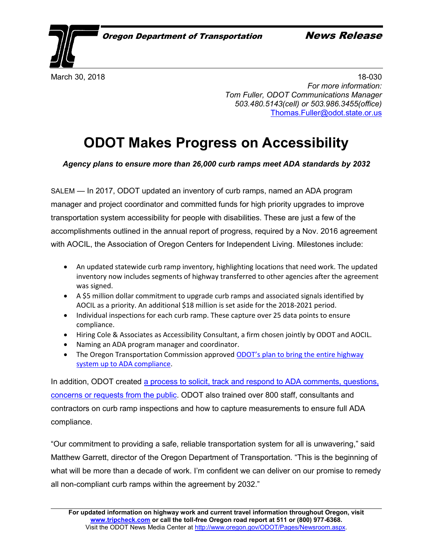March 30, 2018 **18-030** *For more information: Tom Fuller, ODOT Communications Manager 503.480.5143(cell) or 503.986.3455(office)* [Thomas.Fuller@odot.state.or.us](mailto:Thomas.Fuller@odot.state.or.us)

## **ODOT Makes Progress on Accessibility**

*Agency plans to ensure more than 26,000 curb ramps meet ADA standards by 2032*

SALEM — In 2017, ODOT updated an inventory of curb ramps, named an ADA program manager and project coordinator and committed funds for high priority upgrades to improve transportation system accessibility for people with disabilities. These are just a few of the accomplishments outlined in the annual report of progress, required by a Nov. 2016 agreement with AOCIL, the Association of Oregon Centers for Independent Living. Milestones include:

- An updated statewide curb ramp inventory, highlighting locations that need work. The updated inventory now includes segments of highway transferred to other agencies after the agreement was signed.
- A \$5 million dollar commitment to upgrade curb ramps and associated signals identified by AOCIL as a priority. An additional \$18 million is set aside for the 2018-2021 period.
- Individual inspections for each curb ramp. These capture over 25 data points to ensure compliance.
- Hiring Cole & Associates as Accessibility Consultant, a firm chosen jointly by ODOT and AOCIL.
- Naming an ADA program manager and coordinator.
- The Oregon Transportation Commission approved [ODOT's plan to bring the entire highway](http://www.oregon.gov/ODOT/Business/OCR/Documents/Final%20ADA%20Transition%20Plan%202017.pdf)  [system up to ADA compliance.](http://www.oregon.gov/ODOT/Business/OCR/Documents/Final%20ADA%20Transition%20Plan%202017.pdf)

In addition, ODOT created [a process to solicit, track and respond to ADA comments, questions,](http://www.oregon.gov/ODOT/About/Pages/ADA-Issue-Request-Form.aspx)  [concerns or requests from the public.](http://www.oregon.gov/ODOT/About/Pages/ADA-Issue-Request-Form.aspx) ODOT also trained over 800 staff, consultants and contractors on curb ramp inspections and how to capture measurements to ensure full ADA compliance.

"Our commitment to providing a safe, reliable transportation system for all is unwavering," said Matthew Garrett, director of the Oregon Department of Transportation. "This is the beginning of what will be more than a decade of work. I'm confident we can deliver on our promise to remedy all non-compliant curb ramps within the agreement by 2032."